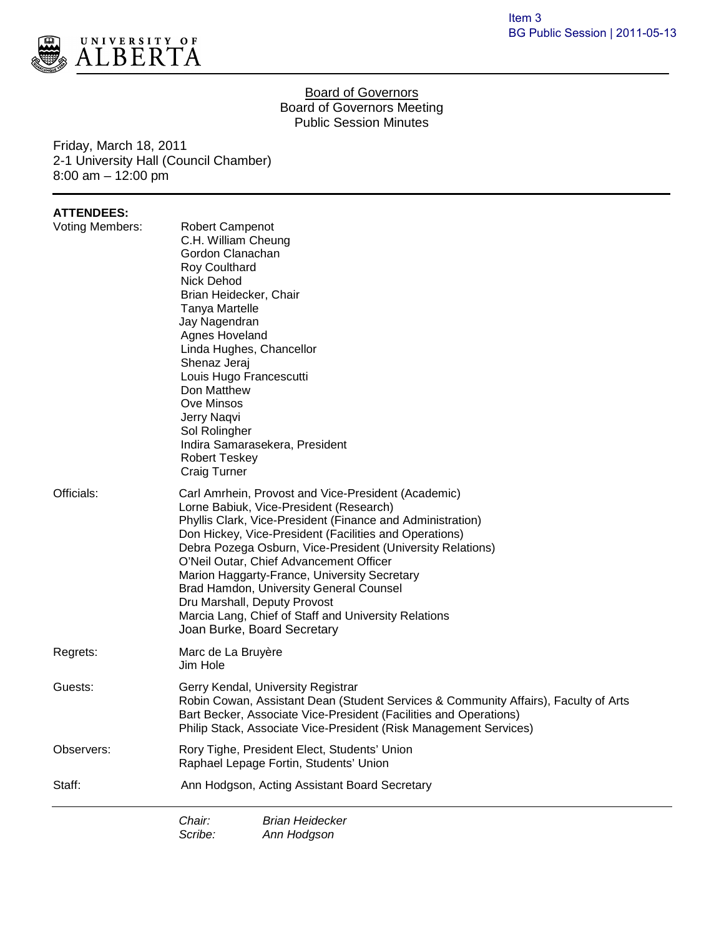

#### Board of Governors Board of Governors Meeting Public Session Minutes

Friday, March 18, 2011 2-1 University Hall (Council Chamber) 8:00 am – 12:00 pm

## **ATTENDEES:**

| Voting Members: | <b>Robert Campenot</b><br>C.H. William Cheung<br>Gordon Clanachan<br>Roy Coulthard<br>Nick Dehod                                                                                                                                                                                                                                                                                                                                                                                                                                                                                                                                                                                                                                                                                                                            | Brian Heidecker, Chair                                                                 |  |
|-----------------|-----------------------------------------------------------------------------------------------------------------------------------------------------------------------------------------------------------------------------------------------------------------------------------------------------------------------------------------------------------------------------------------------------------------------------------------------------------------------------------------------------------------------------------------------------------------------------------------------------------------------------------------------------------------------------------------------------------------------------------------------------------------------------------------------------------------------------|----------------------------------------------------------------------------------------|--|
|                 | Tanya Martelle<br>Jay Nagendran<br>Agnes Hoveland<br>Linda Hughes, Chancellor<br>Shenaz Jeraj<br>Louis Hugo Francescutti<br>Don Matthew<br>Ove Minsos<br>Jerry Naqvi<br>Sol Rolingher<br>Indira Samarasekera, President<br><b>Robert Teskey</b><br><b>Craig Turner</b><br>Carl Amrhein, Provost and Vice-President (Academic)<br>Lorne Babiuk, Vice-President (Research)<br>Phyllis Clark, Vice-President (Finance and Administration)<br>Don Hickey, Vice-President (Facilities and Operations)<br>Debra Pozega Osburn, Vice-President (University Relations)<br>O'Neil Outar, Chief Advancement Officer<br>Marion Haggarty-France, University Secretary<br>Brad Hamdon, University General Counsel<br>Dru Marshall, Deputy Provost<br>Marcia Lang, Chief of Staff and University Relations<br>Joan Burke, Board Secretary |                                                                                        |  |
| Officials:      |                                                                                                                                                                                                                                                                                                                                                                                                                                                                                                                                                                                                                                                                                                                                                                                                                             |                                                                                        |  |
| Regrets:        | Marc de La Bruyère<br>Jim Hole                                                                                                                                                                                                                                                                                                                                                                                                                                                                                                                                                                                                                                                                                                                                                                                              |                                                                                        |  |
| Guests:         | Gerry Kendal, University Registrar<br>Robin Cowan, Assistant Dean (Student Services & Community Affairs), Faculty of Arts<br>Bart Becker, Associate Vice-President (Facilities and Operations)<br>Philip Stack, Associate Vice-President (Risk Management Services)                                                                                                                                                                                                                                                                                                                                                                                                                                                                                                                                                         |                                                                                        |  |
| Observers:      |                                                                                                                                                                                                                                                                                                                                                                                                                                                                                                                                                                                                                                                                                                                                                                                                                             | Rory Tighe, President Elect, Students' Union<br>Raphael Lepage Fortin, Students' Union |  |
| Staff:          | Ann Hodgson, Acting Assistant Board Secretary                                                                                                                                                                                                                                                                                                                                                                                                                                                                                                                                                                                                                                                                                                                                                                               |                                                                                        |  |
|                 | Chair:<br>Scribe:                                                                                                                                                                                                                                                                                                                                                                                                                                                                                                                                                                                                                                                                                                                                                                                                           | Brian Heidecker<br>Ann Hodgson                                                         |  |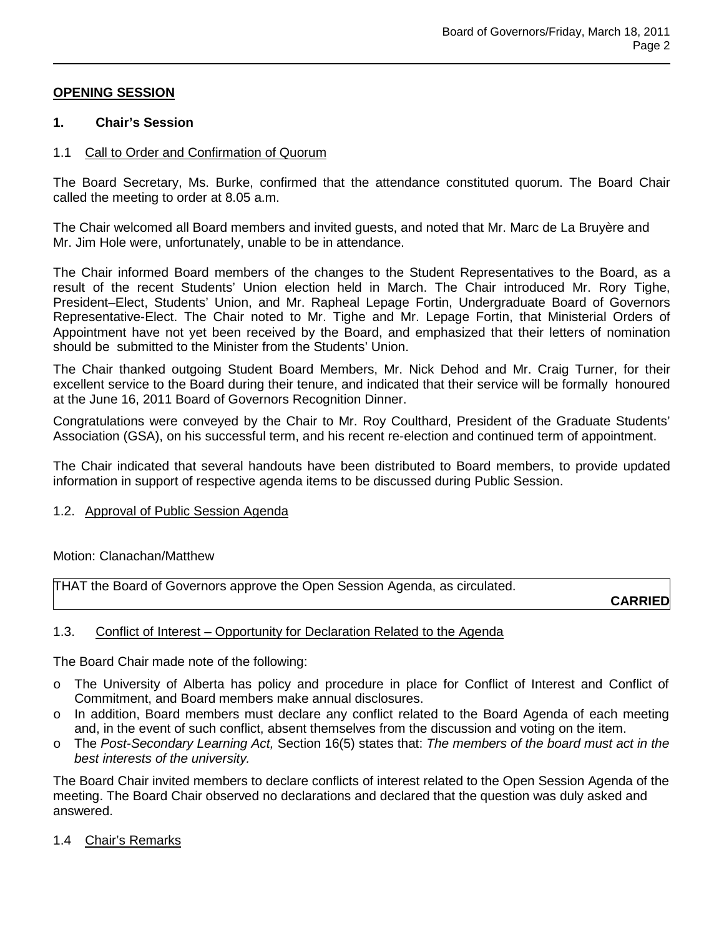# **OPENING SESSION**

#### **1. Chair's Session**

## 1.1 Call to Order and Confirmation of Quorum

The Board Secretary, Ms. Burke, confirmed that the attendance constituted quorum. The Board Chair called the meeting to order at 8.05 a.m.

The Chair welcomed all Board members and invited guests, and noted that Mr. Marc de La Bruyère and Mr. Jim Hole were, unfortunately, unable to be in attendance.

The Chair informed Board members of the changes to the Student Representatives to the Board, as a result of the recent Students' Union election held in March. The Chair introduced Mr. Rory Tighe, President–Elect, Students' Union, and Mr. Rapheal Lepage Fortin, Undergraduate Board of Governors Representative-Elect. The Chair noted to Mr. Tighe and Mr. Lepage Fortin, that Ministerial Orders of Appointment have not yet been received by the Board, and emphasized that their letters of nomination should be submitted to the Minister from the Students' Union.

The Chair thanked outgoing Student Board Members, Mr. Nick Dehod and Mr. Craig Turner, for their excellent service to the Board during their tenure, and indicated that their service will be formally honoured at the June 16, 2011 Board of Governors Recognition Dinner.

Congratulations were conveyed by the Chair to Mr. Roy Coulthard, President of the Graduate Students' Association (GSA), on his successful term, and his recent re-election and continued term of appointment.

The Chair indicated that several handouts have been distributed to Board members, to provide updated information in support of respective agenda items to be discussed during Public Session.

#### 1.2. Approval of Public Session Agenda

#### Motion: Clanachan/Matthew

THAT the Board of Governors approve the Open Session Agenda, as circulated.

**CARRIED**

#### 1.3. Conflict of Interest – Opportunity for Declaration Related to the Agenda

The Board Chair made note of the following:

- o The University of Alberta has policy and procedure in place for Conflict of Interest and Conflict of Commitment, and Board members make annual disclosures.
- o In addition, Board members must declare any conflict related to the Board Agenda of each meeting and, in the event of such conflict, absent themselves from the discussion and voting on the item.
- o The *Post-Secondary Learning Act,* Section 16(5) states that: *The members of the board must act in the best interests of the university.*

The Board Chair invited members to declare conflicts of interest related to the Open Session Agenda of the meeting. The Board Chair observed no declarations and declared that the question was duly asked and answered.

1.4 Chair's Remarks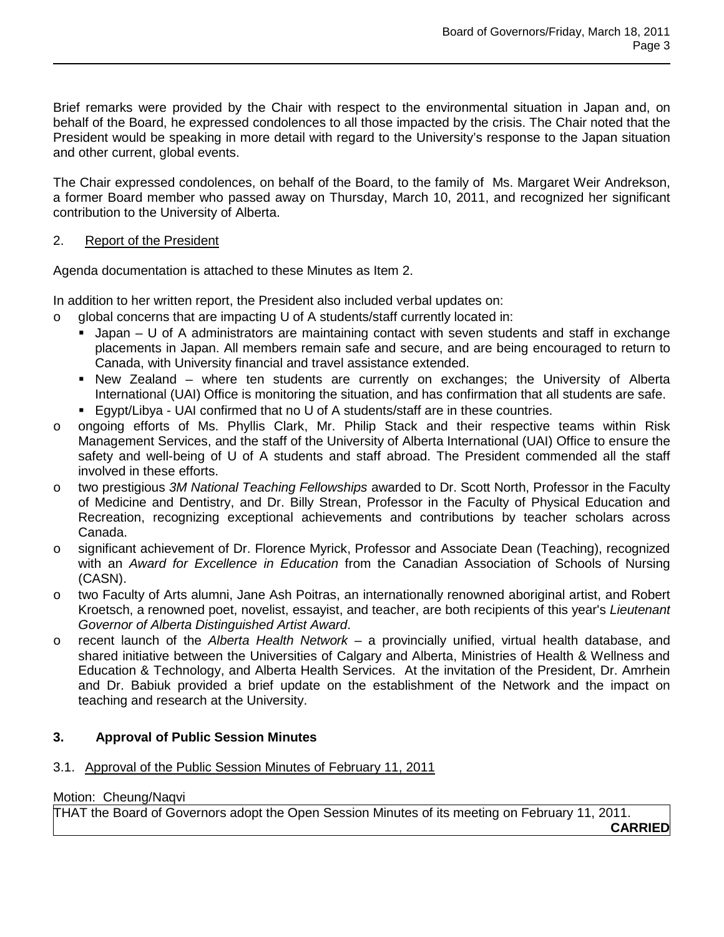Brief remarks were provided by the Chair with respect to the environmental situation in Japan and, on behalf of the Board, he expressed condolences to all those impacted by the crisis. The Chair noted that the President would be speaking in more detail with regard to the University's response to the Japan situation and other current, global events.

The Chair expressed condolences, on behalf of the Board, to the family of Ms. Margaret Weir Andrekson, a former Board member who passed away on Thursday, March 10, 2011, and recognized her significant contribution to the University of Alberta.

## 2. Report of the President

Agenda documentation is attached to these Minutes as Item 2.

In addition to her written report, the President also included verbal updates on:

- $\circ$  global concerns that are impacting U of A students/staff currently located in:
	- $\blacksquare$  Japan U of A administrators are maintaining contact with seven students and staff in exchange placements in Japan. All members remain safe and secure, and are being encouraged to return to Canada, with University financial and travel assistance extended.
	- New Zealand where ten students are currently on exchanges; the University of Alberta International (UAI) Office is monitoring the situation, and has confirmation that all students are safe.
	- Egypt/Libya UAI confirmed that no U of A students/staff are in these countries.
- o ongoing efforts of Ms. Phyllis Clark, Mr. Philip Stack and their respective teams within Risk Management Services, and the staff of the University of Alberta International (UAI) Office to ensure the safety and well-being of U of A students and staff abroad. The President commended all the staff involved in these efforts.
- o two prestigious *3M National Teaching Fellowships* awarded to Dr. Scott North, Professor in the Faculty of Medicine and Dentistry, and Dr. Billy Strean, Professor in the Faculty of Physical Education and Recreation, recognizing exceptional achievements and contributions by teacher scholars across Canada.
- o significant achievement of Dr. Florence Myrick, Professor and Associate Dean (Teaching), recognized with an *Award for Excellence in Education* from the Canadian Association of Schools of Nursing (CASN).
- o two Faculty of Arts alumni, Jane Ash Poitras, an internationally renowned aboriginal artist, and Robert Kroetsch, a renowned poet, novelist, essayist, and teacher, are both recipients of this year's *Lieutenant Governor of Alberta Distinguished Artist Award*.
- o recent launch of the *Alberta Health Network* a provincially unified, virtual health database, and shared initiative between the Universities of Calgary and Alberta, Ministries of Health & Wellness and Education & Technology, and Alberta Health Services. At the invitation of the President, Dr. Amrhein and Dr. Babiuk provided a brief update on the establishment of the Network and the impact on teaching and research at the University.

# **3. Approval of Public Session Minutes**

# 3.1. Approval of the Public Session Minutes of February 11, 2011

# Motion: Cheung/Naqvi

THAT the Board of Governors adopt the Open Session Minutes of its meeting on February 11, 2011.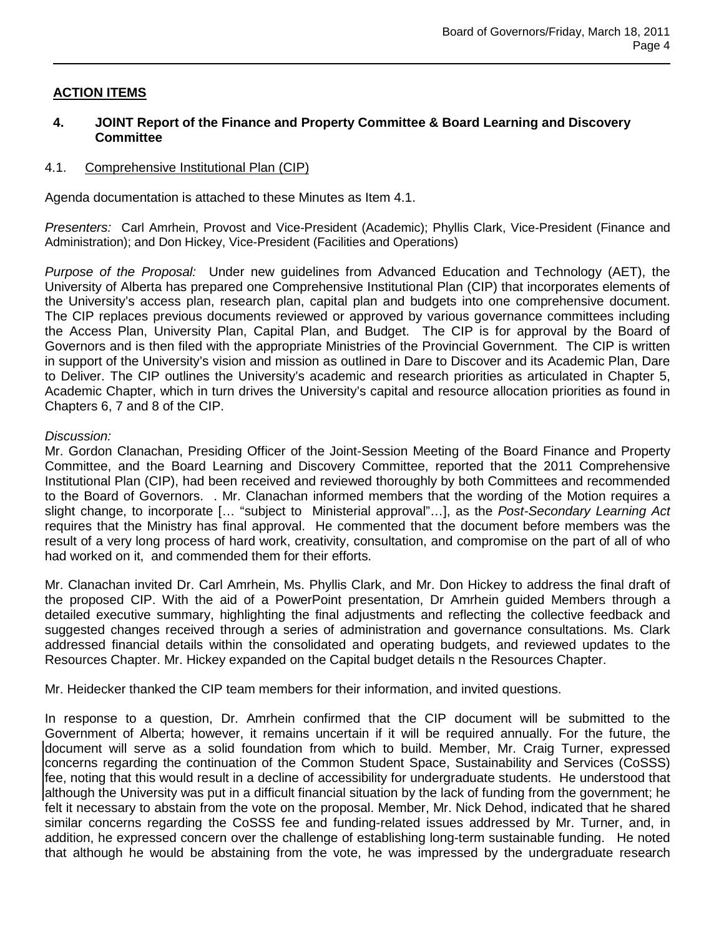# **ACTION ITEMS**

## **4. JOINT Report of the Finance and Property Committee & Board Learning and Discovery Committee**

## 4.1. Comprehensive Institutional Plan (CIP)

Agenda documentation is attached to these Minutes as Item 4.1.

*Presenters:* Carl Amrhein, Provost and Vice-President (Academic); Phyllis Clark, Vice-President (Finance and Administration); and Don Hickey, Vice-President (Facilities and Operations)

*Purpose of the Proposal:* Under new guidelines from Advanced Education and Technology (AET), the University of Alberta has prepared one Comprehensive Institutional Plan (CIP) that incorporates elements of the University's access plan, research plan, capital plan and budgets into one comprehensive document. The CIP replaces previous documents reviewed or approved by various governance committees including the Access Plan, University Plan, Capital Plan, and Budget. The CIP is for approval by the Board of Governors and is then filed with the appropriate Ministries of the Provincial Government. The CIP is written in support of the University's vision and mission as outlined in Dare to Discover and its Academic Plan, Dare to Deliver. The CIP outlines the University's academic and research priorities as articulated in Chapter 5, Academic Chapter, which in turn drives the University's capital and resource allocation priorities as found in Chapters 6, 7 and 8 of the CIP.

## *Discussion:*

Mr. Gordon Clanachan, Presiding Officer of the Joint-Session Meeting of the Board Finance and Property Committee, and the Board Learning and Discovery Committee, reported that the 2011 Comprehensive Institutional Plan (CIP), had been received and reviewed thoroughly by both Committees and recommended to the Board of Governors. . Mr. Clanachan informed members that the wording of the Motion requires a slight change, to incorporate [… "subject to Ministerial approval"…], as the *Post-Secondary Learning Act* requires that the Ministry has final approval. He commented that the document before members was the result of a very long process of hard work, creativity, consultation, and compromise on the part of all of who had worked on it, and commended them for their efforts.

Mr. Clanachan invited Dr. Carl Amrhein, Ms. Phyllis Clark, and Mr. Don Hickey to address the final draft of the proposed CIP. With the aid of a PowerPoint presentation, Dr Amrhein guided Members through a detailed executive summary, highlighting the final adjustments and reflecting the collective feedback and suggested changes received through a series of administration and governance consultations. Ms. Clark addressed financial details within the consolidated and operating budgets, and reviewed updates to the Resources Chapter. Mr. Hickey expanded on the Capital budget details n the Resources Chapter.

Mr. Heidecker thanked the CIP team members for their information, and invited questions.

In response to a question, Dr. Amrhein confirmed that the CIP document will be submitted to the Government of Alberta; however, it remains uncertain if it will be required annually. For the future, the document will serve as a solid foundation from which to build. Member, Mr. Craig Turner, expressed concerns regarding the continuation of the Common Student Space, Sustainability and Services (CoSSS) fee, noting that this would result in a decline of accessibility for undergraduate students. He understood that although the University was put in a difficult financial situation by the lack of funding from the government; he felt it necessary to abstain from the vote on the proposal. Member, Mr. Nick Dehod, indicated that he shared similar concerns regarding the CoSSS fee and funding-related issues addressed by Mr. Turner, and, in addition, he expressed concern over the challenge of establishing long-term sustainable funding. He noted that although he would be abstaining from the vote, he was impressed by the undergraduate research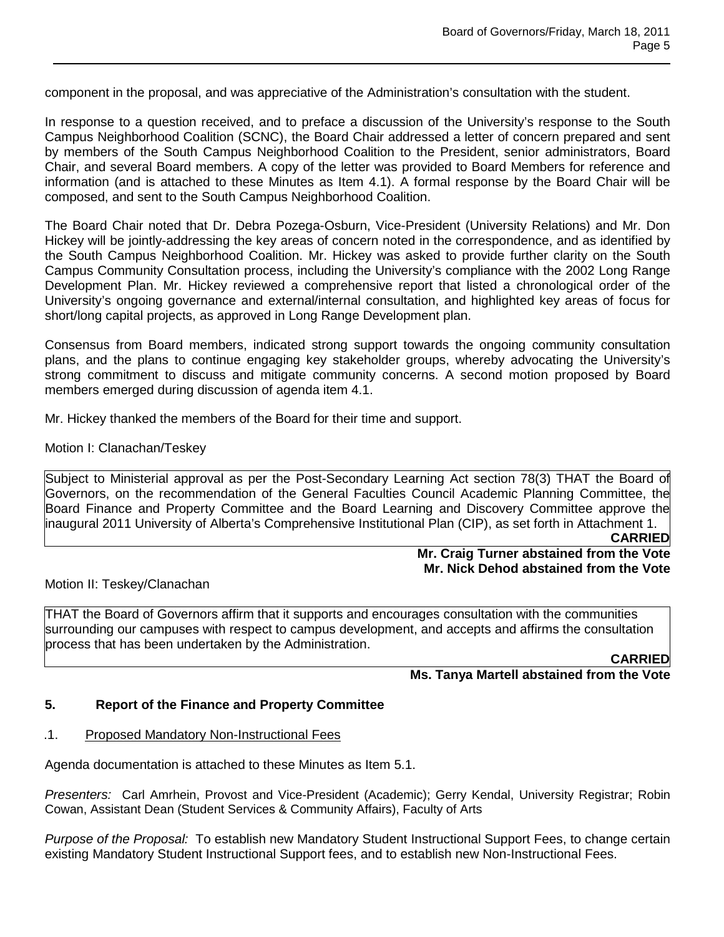component in the proposal, and was appreciative of the Administration's consultation with the student.

In response to a question received, and to preface a discussion of the University's response to the South Campus Neighborhood Coalition (SCNC), the Board Chair addressed a letter of concern prepared and sent by members of the South Campus Neighborhood Coalition to the President, senior administrators, Board Chair, and several Board members. A copy of the letter was provided to Board Members for reference and information (and is attached to these Minutes as Item 4.1). A formal response by the Board Chair will be composed, and sent to the South Campus Neighborhood Coalition.

The Board Chair noted that Dr. Debra Pozega-Osburn, Vice-President (University Relations) and Mr. Don Hickey will be jointly-addressing the key areas of concern noted in the correspondence, and as identified by the South Campus Neighborhood Coalition. Mr. Hickey was asked to provide further clarity on the South Campus Community Consultation process, including the University's compliance with the 2002 Long Range Development Plan. Mr. Hickey reviewed a comprehensive report that listed a chronological order of the University's ongoing governance and external/internal consultation, and highlighted key areas of focus for short/long capital projects, as approved in Long Range Development plan.

Consensus from Board members, indicated strong support towards the ongoing community consultation plans, and the plans to continue engaging key stakeholder groups, whereby advocating the University's strong commitment to discuss and mitigate community concerns. A second motion proposed by Board members emerged during discussion of agenda item 4.1.

Mr. Hickey thanked the members of the Board for their time and support.

Motion I: Clanachan/Teskey

Subject to Ministerial approval as per the Post-Secondary Learning Act section 78(3) THAT the Board of Governors, on the recommendation of the General Faculties Council Academic Planning Committee, the Board Finance and Property Committee and the Board Learning and Discovery Committee approve the inaugural 2011 University of Alberta's Comprehensive Institutional Plan (CIP), as set forth in Attachment 1.

**CARRIED**

# **Mr. Craig Turner abstained from the Vote Mr. Nick Dehod abstained from the Vote**

Motion II: Teskey/Clanachan

THAT the Board of Governors affirm that it supports and encourages consultation with the communities surrounding our campuses with respect to campus development, and accepts and affirms the consultation process that has been undertaken by the Administration.

**CARRIED**

# **Ms. Tanya Martell abstained from the Vote**

#### **5. Report of the Finance and Property Committee**

#### .1. Proposed Mandatory Non-Instructional Fees

Agenda documentation is attached to these Minutes as Item 5.1.

*Presenters:* Carl Amrhein, Provost and Vice-President (Academic); Gerry Kendal, University Registrar; Robin Cowan, Assistant Dean (Student Services & Community Affairs), Faculty of Arts

*Purpose of the Proposal:* To establish new Mandatory Student Instructional Support Fees, to change certain existing Mandatory Student Instructional Support fees, and to establish new Non-Instructional Fees.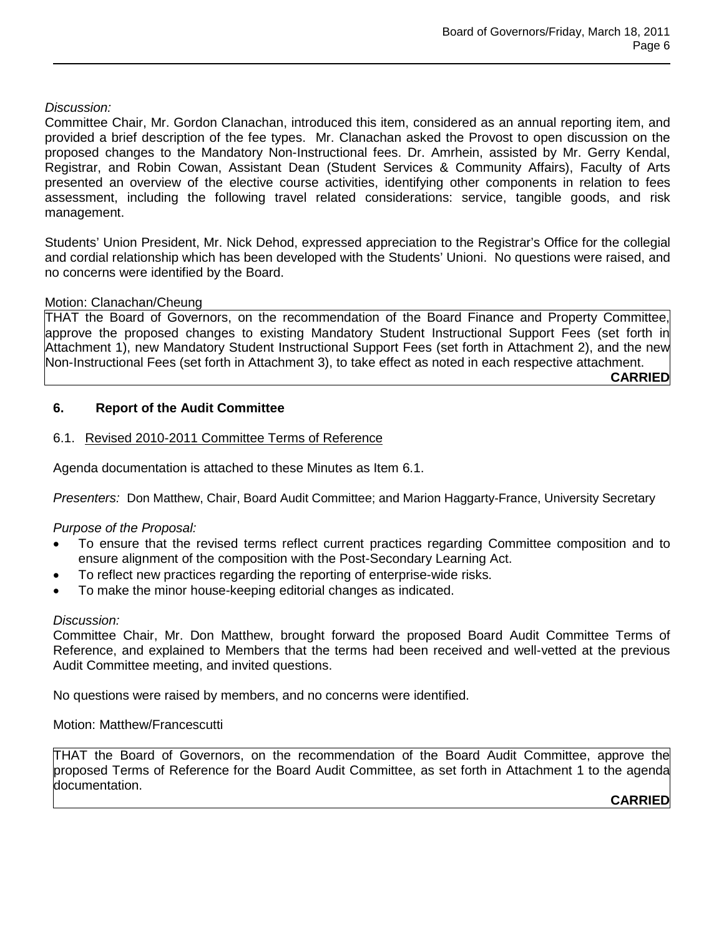# *Discussion:*

Committee Chair, Mr. Gordon Clanachan, introduced this item, considered as an annual reporting item, and provided a brief description of the fee types. Mr. Clanachan asked the Provost to open discussion on the proposed changes to the Mandatory Non-Instructional fees. Dr. Amrhein, assisted by Mr. Gerry Kendal, Registrar, and Robin Cowan, Assistant Dean (Student Services & Community Affairs), Faculty of Arts presented an overview of the elective course activities, identifying other components in relation to fees assessment, including the following travel related considerations: service, tangible goods, and risk management.

Students' Union President, Mr. Nick Dehod, expressed appreciation to the Registrar's Office for the collegial and cordial relationship which has been developed with the Students' Unioni. No questions were raised, and no concerns were identified by the Board.

# Motion: Clanachan/Cheung

THAT the Board of Governors, on the recommendation of the Board Finance and Property Committee, approve the proposed changes to existing Mandatory Student Instructional Support Fees (set forth in Attachment 1), new Mandatory Student Instructional Support Fees (set forth in Attachment 2), and the new Non-Instructional Fees (set forth in Attachment 3), to take effect as noted in each respective attachment.

**CARRIED**

# **6. Report of the Audit Committee**

## 6.1. Revised 2010-2011 Committee Terms of Reference

Agenda documentation is attached to these Minutes as Item 6.1.

*Presenters:* Don Matthew, Chair, Board Audit Committee; and Marion Haggarty-France, University Secretary

# *Purpose of the Proposal:*

- To ensure that the revised terms reflect current practices regarding Committee composition and to ensure alignment of the composition with the Post-Secondary Learning Act.
- To reflect new practices regarding the reporting of enterprise-wide risks.
- To make the minor house-keeping editorial changes as indicated.

#### *Discussion:*

Committee Chair, Mr. Don Matthew, brought forward the proposed Board Audit Committee Terms of Reference, and explained to Members that the terms had been received and well-vetted at the previous Audit Committee meeting, and invited questions.

No questions were raised by members, and no concerns were identified.

#### Motion: Matthew/Francescutti

THAT the Board of Governors, on the recommendation of the Board Audit Committee, approve the proposed Terms of Reference for the Board Audit Committee, as set forth in Attachment 1 to the agenda documentation.

**CARRIED**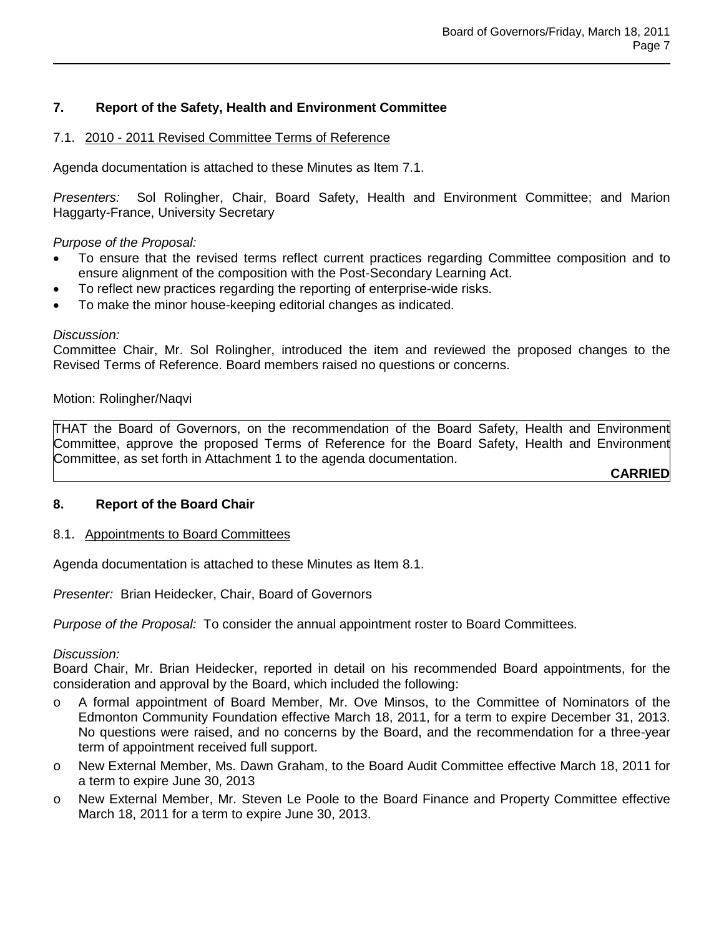# **7. Report of the Safety, Health and Environment Committee**

## 7.1. 2010 - 2011 Revised Committee Terms of Reference

Agenda documentation is attached to these Minutes as Item 7.1.

*Presenters:* Sol Rolingher, Chair, Board Safety, Health and Environment Committee; and Marion Haggarty-France, University Secretary

*Purpose of the Proposal:* 

- To ensure that the revised terms reflect current practices regarding Committee composition and to ensure alignment of the composition with the Post-Secondary Learning Act.
- To reflect new practices regarding the reporting of enterprise-wide risks.
- To make the minor house-keeping editorial changes as indicated.

#### *Discussion:*

Committee Chair, Mr. Sol Rolingher, introduced the item and reviewed the proposed changes to the Revised Terms of Reference. Board members raised no questions or concerns.

Motion: Rolingher/Naqvi

THAT the Board of Governors, on the recommendation of the Board Safety, Health and Environment Committee, approve the proposed Terms of Reference for the Board Safety, Health and Environment Committee, as set forth in Attachment 1 to the agenda documentation.

**CARRIED**

# **8. Report of the Board Chair**

#### 8.1. Appointments to Board Committees

Agenda documentation is attached to these Minutes as Item 8.1.

*Presenter:* Brian Heidecker, Chair, Board of Governors

*Purpose of the Proposal:* To consider the annual appointment roster to Board Committees.

#### *Discussion:*

Board Chair, Mr. Brian Heidecker, reported in detail on his recommended Board appointments, for the consideration and approval by the Board, which included the following:

- o A formal appointment of Board Member, Mr. Ove Minsos, to the Committee of Nominators of the Edmonton Community Foundation effective March 18, 2011, for a term to expire December 31, 2013. No questions were raised, and no concerns by the Board, and the recommendation for a three-year term of appointment received full support.
- o New External Member, Ms. Dawn Graham, to the Board Audit Committee effective March 18, 2011 for a term to expire June 30, 2013
- o New External Member, Mr. Steven Le Poole to the Board Finance and Property Committee effective March 18, 2011 for a term to expire June 30, 2013.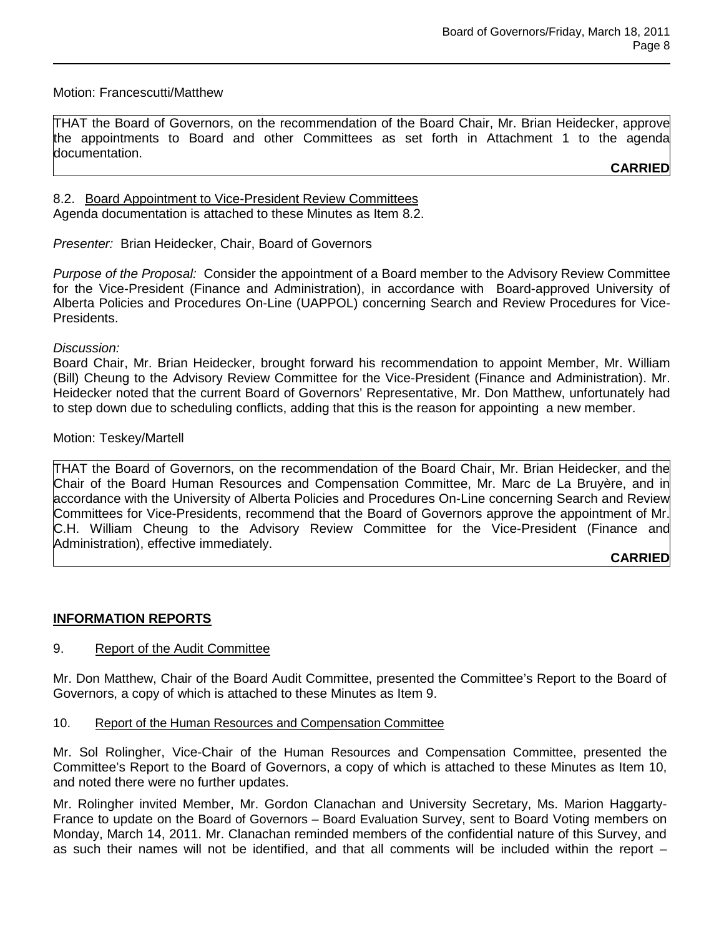## Motion: Francescutti/Matthew

THAT the Board of Governors, on the recommendation of the Board Chair, Mr. Brian Heidecker, approve the appointments to Board and other Committees as set forth in Attachment 1 to the agenda documentation.

**CARRIED**

8.2. Board Appointment to Vice-President Review Committees Agenda documentation is attached to these Minutes as Item 8.2.

*Presenter:* Brian Heidecker, Chair, Board of Governors

*Purpose of the Proposal:* Consider the appointment of a Board member to the Advisory Review Committee for the Vice-President (Finance and Administration), in accordance with Board-approved University of Alberta Policies and Procedures On-Line (UAPPOL) concerning Search and Review Procedures for Vice-Presidents.

*Discussion:*

Board Chair, Mr. Brian Heidecker, brought forward his recommendation to appoint Member, Mr. William (Bill) Cheung to the Advisory Review Committee for the Vice-President (Finance and Administration). Mr. Heidecker noted that the current Board of Governors' Representative, Mr. Don Matthew, unfortunately had to step down due to scheduling conflicts, adding that this is the reason for appointing a new member.

Motion: Teskey/Martell

THAT the Board of Governors, on the recommendation of the Board Chair, Mr. Brian Heidecker, and the Chair of the Board Human Resources and Compensation Committee, Mr. Marc de La Bruyère, and in accordance with the University of Alberta Policies and Procedures On-Line concerning Search and Review Committees for Vice-Presidents, recommend that the Board of Governors approve the appointment of Mr. C.H. William Cheung to the Advisory Review Committee for the Vice-President (Finance and Administration), effective immediately.

# **CARRIED**

# **INFORMATION REPORTS**

# 9. Report of the Audit Committee

Mr. Don Matthew, Chair of the Board Audit Committee, presented the Committee's Report to the Board of Governors, a copy of which is attached to these Minutes as Item 9.

#### 10. Report of the Human Resources and Compensation Committee

Mr. Sol Rolingher, Vice-Chair of the Human Resources and Compensation Committee, presented the Committee's Report to the Board of Governors, a copy of which is attached to these Minutes as Item 10, and noted there were no further updates.

Mr. Rolingher invited Member, Mr. Gordon Clanachan and University Secretary, Ms. Marion Haggarty-France to update on the Board of Governors – Board Evaluation Survey, sent to Board Voting members on Monday, March 14, 2011. Mr. Clanachan reminded members of the confidential nature of this Survey, and as such their names will not be identified, and that all comments will be included within the report –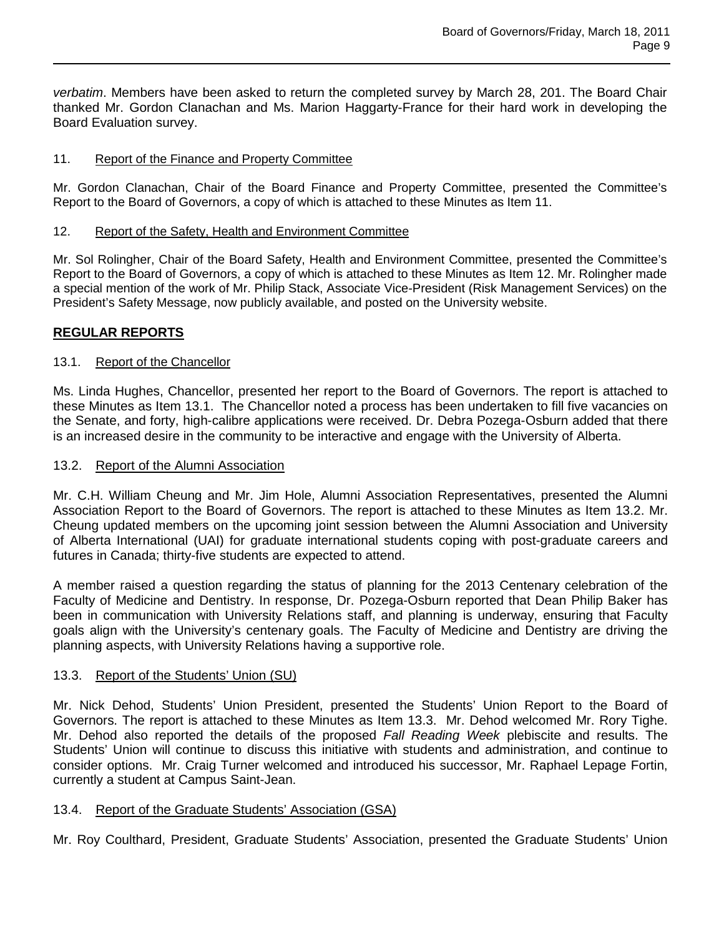*verbatim*. Members have been asked to return the completed survey by March 28, 201. The Board Chair thanked Mr. Gordon Clanachan and Ms. Marion Haggarty-France for their hard work in developing the Board Evaluation survey.

# 11. Report of the Finance and Property Committee

Mr. Gordon Clanachan, Chair of the Board Finance and Property Committee, presented the Committee's Report to the Board of Governors, a copy of which is attached to these Minutes as Item 11.

#### 12. Report of the Safety, Health and Environment Committee

Mr. Sol Rolingher, Chair of the Board Safety, Health and Environment Committee, presented the Committee's Report to the Board of Governors, a copy of which is attached to these Minutes as Item 12. Mr. Rolingher made a special mention of the work of Mr. Philip Stack, Associate Vice-President (Risk Management Services) on the President's Safety Message, now publicly available, and posted on the University website.

## **REGULAR REPORTS**

## 13.1. Report of the Chancellor

Ms. Linda Hughes, Chancellor, presented her report to the Board of Governors. The report is attached to these Minutes as Item 13.1. The Chancellor noted a process has been undertaken to fill five vacancies on the Senate, and forty, high-calibre applications were received. Dr. Debra Pozega-Osburn added that there is an increased desire in the community to be interactive and engage with the University of Alberta.

### 13.2. Report of the Alumni Association

Mr. C.H. William Cheung and Mr. Jim Hole, Alumni Association Representatives, presented the Alumni Association Report to the Board of Governors. The report is attached to these Minutes as Item 13.2. Mr. Cheung updated members on the upcoming joint session between the Alumni Association and University of Alberta International (UAI) for graduate international students coping with post-graduate careers and futures in Canada; thirty-five students are expected to attend.

A member raised a question regarding the status of planning for the 2013 Centenary celebration of the Faculty of Medicine and Dentistry. In response, Dr. Pozega-Osburn reported that Dean Philip Baker has been in communication with University Relations staff, and planning is underway, ensuring that Faculty goals align with the University's centenary goals. The Faculty of Medicine and Dentistry are driving the planning aspects, with University Relations having a supportive role.

#### 13.3. Report of the Students' Union (SU)

Mr. Nick Dehod, Students' Union President, presented the Students' Union Report to the Board of Governors. The report is attached to these Minutes as Item 13.3. Mr. Dehod welcomed Mr. Rory Tighe. Mr. Dehod also reported the details of the proposed *Fall Reading Week* plebiscite and results. The Students' Union will continue to discuss this initiative with students and administration, and continue to consider options. Mr. Craig Turner welcomed and introduced his successor, Mr. Raphael Lepage Fortin, currently a student at Campus Saint-Jean.

# 13.4. Report of the Graduate Students' Association (GSA)

Mr. Roy Coulthard, President, Graduate Students' Association, presented the Graduate Students' Union